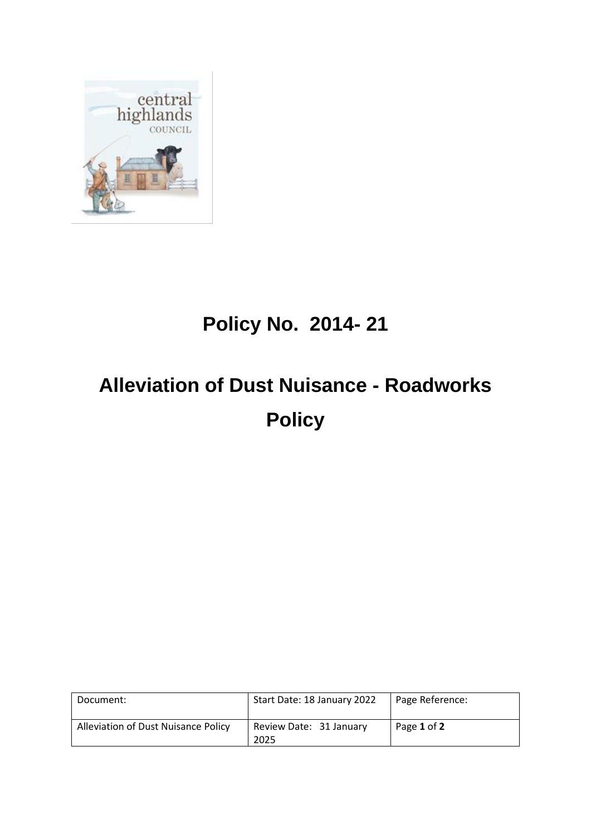

## **Policy No. 2014- 21**

## **Alleviation of Dust Nuisance - Roadworks Policy**

| Document:                           | Start Date: 18 January 2022     | Page Reference: |
|-------------------------------------|---------------------------------|-----------------|
| Alleviation of Dust Nuisance Policy | Review Date: 31 January<br>2025 | Page 1 of 2     |